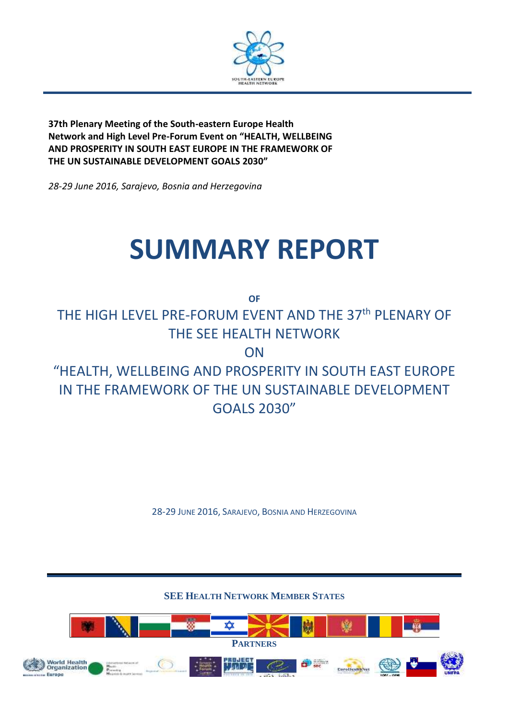

**37th Plenary Meeting of the South-eastern Europe Health Network and High Level Pre-Forum Event on "HEALTH, WELLBEING AND PROSPERITY IN SOUTH EAST EUROPE IN THE FRAMEWORK OF THE UN SUSTAINABLE DEVELOPMENT GOALS 2030"**

*28-29 June 2016, Sarajevo, Bosnia and Herzegovina*

# **SUMMARY REPORT**

**OF**  THE HIGH LEVEL PRE-FORUM EVENT AND THE 37<sup>th</sup> PLENARY OF THE SEE HEALTH NETWORK ON "HEALTH, WELLBEING AND PROSPERITY IN SOUTH EAST EUROPE IN THE FRAMEWORK OF THE UN SUSTAINABLE DEVELOPMENT GOALS 2030"

28-29 JUNE 2016, SARAJEVO, BOSNIA AND HERZEGOVINA

**SEE HEALTH NETWORK MEMBER STATES**

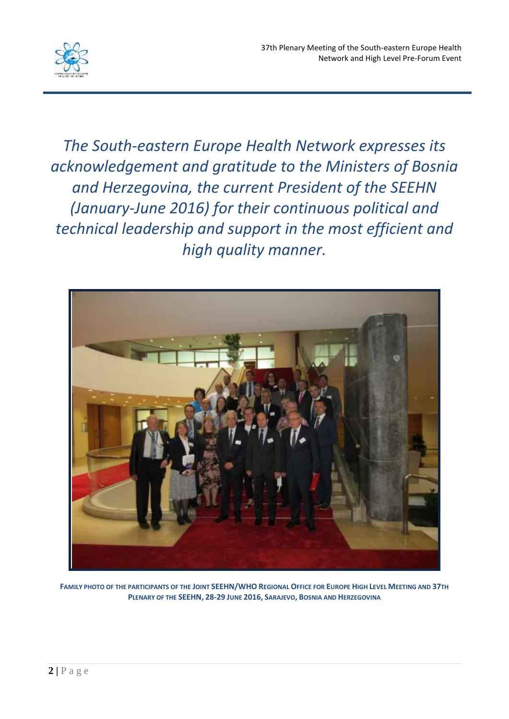

*The South-eastern Europe Health Network expresses its acknowledgement and gratitude to the Ministers of Bosnia and Herzegovina, the current President of the SEEHN (January-June 2016) for their continuous political and technical leadership and support in the most efficient and high quality manner.*



FAMILY PHOTO OF THE PARTICIPANTS OF THE JOINT SEEHN/WHO REGIONAL OFFICE FOR EUROPE HIGH LEVEL MEETING AND 37TH **PLENARY OF THE SEEHN, 28-29 JUNE 2016, SARAJEVO, BOSNIA AND HERZEGOVINA**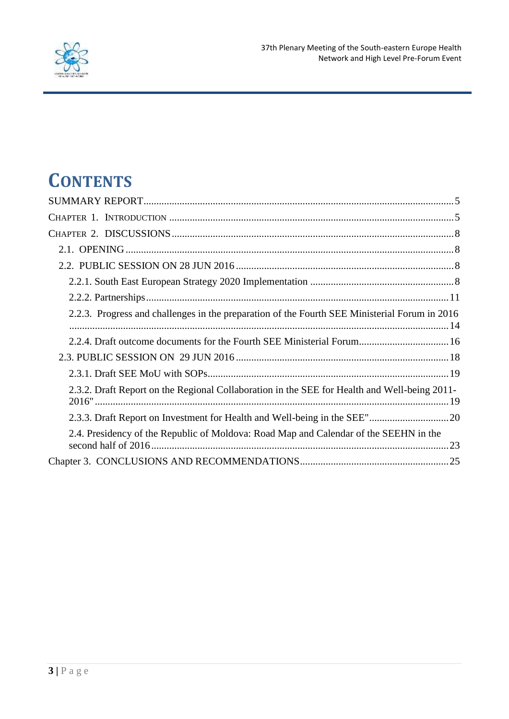

# **CONTENTS**

| 2.2.3. Progress and challenges in the preparation of the Fourth SEE Ministerial Forum in 2016 |
|-----------------------------------------------------------------------------------------------|
| 2.2.4. Draft outcome documents for the Fourth SEE Ministerial Forum 16                        |
|                                                                                               |
|                                                                                               |
| 2.3.2. Draft Report on the Regional Collaboration in the SEE for Health and Well-being 2011-  |
|                                                                                               |
| 2.4. Presidency of the Republic of Moldova: Road Map and Calendar of the SEEHN in the         |
|                                                                                               |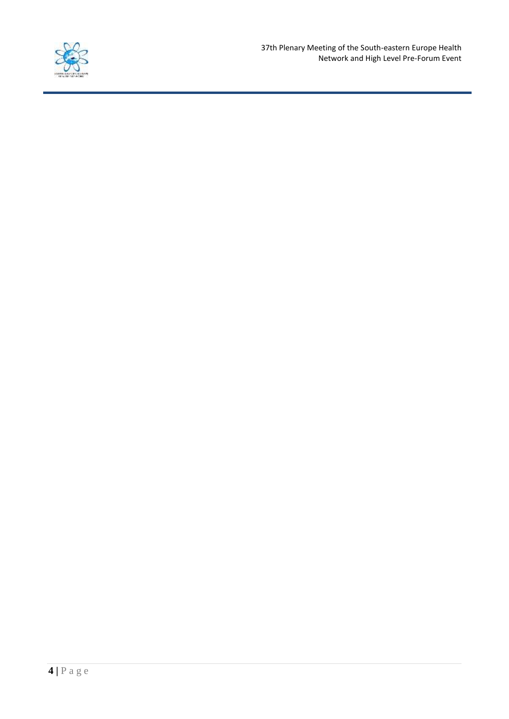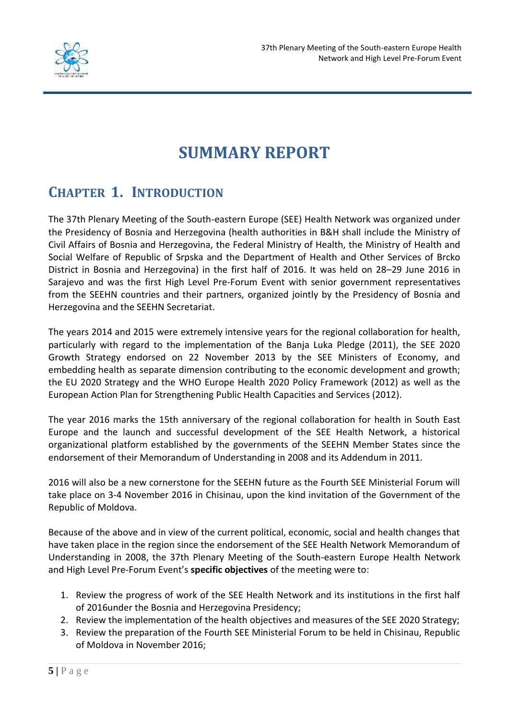

## **SUMMARY REPORT**

### <span id="page-4-1"></span><span id="page-4-0"></span>**CHAPTER 1. INTRODUCTION**

The 37th Plenary Meeting of the South-eastern Europe (SEE) Health Network was organized under the Presidency of Bosnia and Herzegovina (health authorities in B&H shall include the Ministry of Civil Affairs of Bosnia and Herzegovina, the Federal Ministry of Health, the Ministry of Health and Social Welfare of Republic of Srpska and the Department of Health and Other Services of Brcko District in Bosnia and Herzegovina) in the first half of 2016. It was held on 28–29 June 2016 in Sarajevo and was the first High Level Pre-Forum Event with senior government representatives from the SEEHN countries and their partners, organized jointly by the Presidency of Bosnia and Herzegovina and the SEEHN Secretariat.

The years 2014 and 2015 were extremely intensive years for the regional collaboration for health, particularly with regard to the implementation of the Banja Luka Pledge (2011), the SEE 2020 Growth Strategy endorsed on 22 November 2013 by the SEE Ministers of Economy, and embedding health as separate dimension contributing to the economic development and growth; the EU 2020 Strategy and the WHO Europe Health 2020 Policy Framework (2012) as well as the European Action Plan for Strengthening Public Health Capacities and Services (2012).

The year 2016 marks the 15th anniversary of the regional collaboration for health in South East Europe and the launch and successful development of the SEE Health Network, a historical organizational platform established by the governments of the SEEHN Member States since the endorsement of their Memorandum of Understanding in 2008 and its Addendum in 2011.

2016 will also be a new cornerstone for the SEEHN future as the Fourth SEE Ministerial Forum will take place on 3-4 November 2016 in Chisinau, upon the kind invitation of the Government of the Republic of Moldova.

Because of the above and in view of the current political, economic, social and health changes that have taken place in the region since the endorsement of the SEE Health Network Memorandum of Understanding in 2008, the 37th Plenary Meeting of the South-eastern Europe Health Network and High Level Pre-Forum Event's **specific objectives** of the meeting were to:

- 1. Review the progress of work of the SEE Health Network and its institutions in the first half of 2016under the Bosnia and Herzegovina Presidency;
- 2. Review the implementation of the health objectives and measures of the SEE 2020 Strategy;
- 3. Review the preparation of the Fourth SEE Ministerial Forum to be held in Chisinau, Republic of Moldova in November 2016;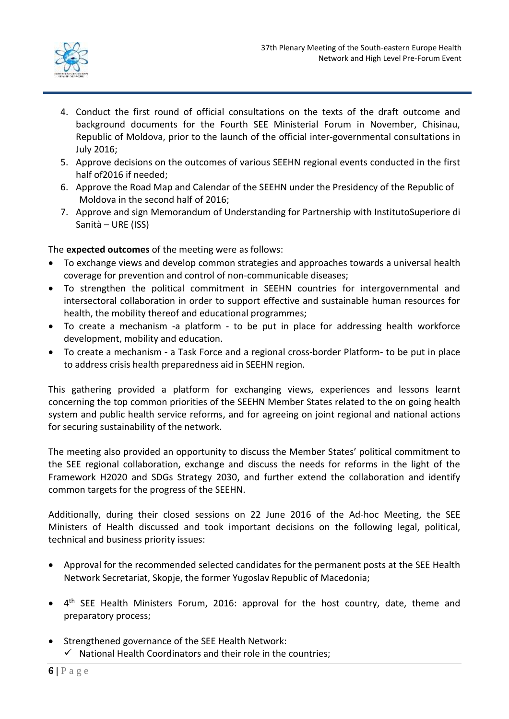

- 4. Conduct the first round of official consultations on the texts of the draft outcome and background documents for the Fourth SEE Ministerial Forum in November, Chisinau, Republic of Moldova, prior to the launch of the official inter-governmental consultations in July 2016;
- 5. Approve decisions on the outcomes of various SEEHN regional events conducted in the first half of2016 if needed;
- 6. Approve the Road Map and Calendar of the SEEHN under the Presidency of the Republic of Moldova in the second half of 2016;
- 7. Approve and sign Memorandum of Understanding for Partnership with InstitutoSuperiore di Sanità – URE (ISS)

The **expected outcomes** of the meeting were as follows:

- To exchange views and develop common strategies and approaches towards a universal health coverage for prevention and control of non-communicable diseases;
- To strengthen the political commitment in SEEHN countries for intergovernmental and intersectoral collaboration in order to support effective and sustainable human resources for health, the mobility thereof and educational programmes;
- To create a mechanism -a platform to be put in place for addressing health workforce development, mobility and education.
- To create a mechanism a Task Force and a regional cross-border Platform- to be put in place to address crisis health preparedness aid in SEEHN region.

This gathering provided a platform for exchanging views, experiences and lessons learnt concerning the top common priorities of the SEEHN Member States related to the on going health system and public health service reforms, and for agreeing on joint regional and national actions for securing sustainability of the network.

The meeting also provided an opportunity to discuss the Member States' political commitment to the SEE regional collaboration, exchange and discuss the needs for reforms in the light of the Framework H2020 and SDGs Strategy 2030, and further extend the collaboration and identify common targets for the progress of the SEEHN.

Additionally, during their closed sessions on 22 June 2016 of the Ad-hoc Meeting, the SEE Ministers of Health discussed and took important decisions on the following legal, political, technical and business priority issues:

- Approval for the recommended selected candidates for the permanent posts at the SEE Health Network Secretariat, Skopje, the former Yugoslav Republic of Macedonia;
- 4<sup>th</sup> SEE Health Ministers Forum, 2016: approval for the host country, date, theme and preparatory process;
- Strengthened governance of the SEE Health Network:  $\checkmark$  National Health Coordinators and their role in the countries;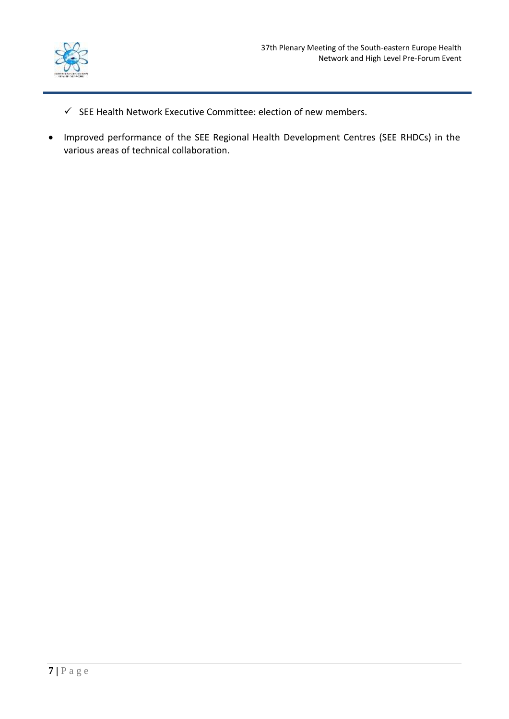

- $\checkmark$  SEE Health Network Executive Committee: election of new members.
- Improved performance of the SEE Regional Health Development Centres (SEE RHDCs) in the various areas of technical collaboration.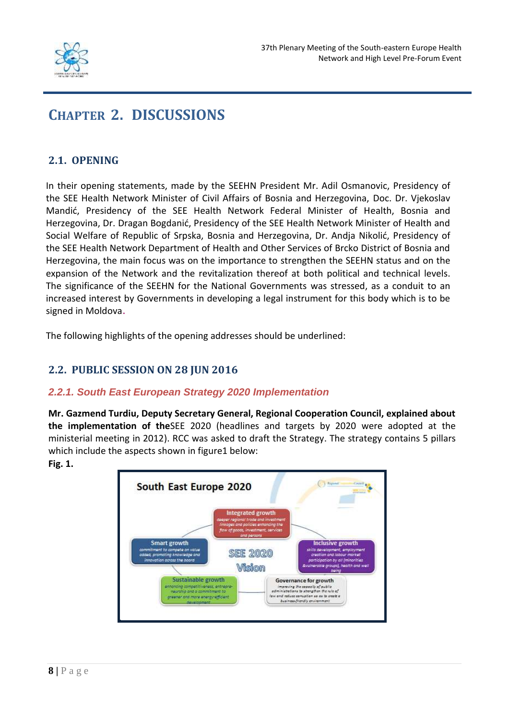

### <span id="page-7-0"></span>**CHAPTER 2. DISCUSSIONS**

#### <span id="page-7-1"></span>**2.1. OPENING**

In their opening statements, made by the SEEHN President Mr. Adil Osmanovic, Presidency of the SEE Health Network Minister of Civil Affairs of Bosnia and Herzegovina, Doc. Dr. Vjekoslav Mandić, Presidency of the SEE Health Network Federal Minister of Health, Bosnia and Herzegovina, Dr. Dragan Bogdanić, Presidency of the SEE Health Network Minister of Health and Social Welfare of Republic of Srpska, Bosnia and Herzegovina, Dr. Andja Nikolić, Presidency of the SEE Health Network Department of Health and Other Services of Brcko District of Bosnia and Herzegovina, the main focus was on the importance to strengthen the SEEHN status and on the expansion of the Network and the revitalization thereof at both political and technical levels. The significance of the SEEHN for the National Governments was stressed, as a conduit to an increased interest by Governments in developing a legal instrument for this body which is to be signed in Moldova.

The following highlights of the opening addresses should be underlined:

#### <span id="page-7-2"></span>**2.2. PUBLIC SESSION ON 28 JUN 2016**

#### <span id="page-7-3"></span>*2.2.1. South East European Strategy 2020 Implementation*

**Mr. Gazmend Turdiu, Deputy Secretary General, Regional Cooperation Council, explained about the implementation of the**SEE 2020 (headlines and targets by 2020 were adopted at the ministerial meeting in 2012). RCC was asked to draft the Strategy. The strategy contains 5 pillars which include the aspects shown in figure1 below:

#### **Fig. 1.**

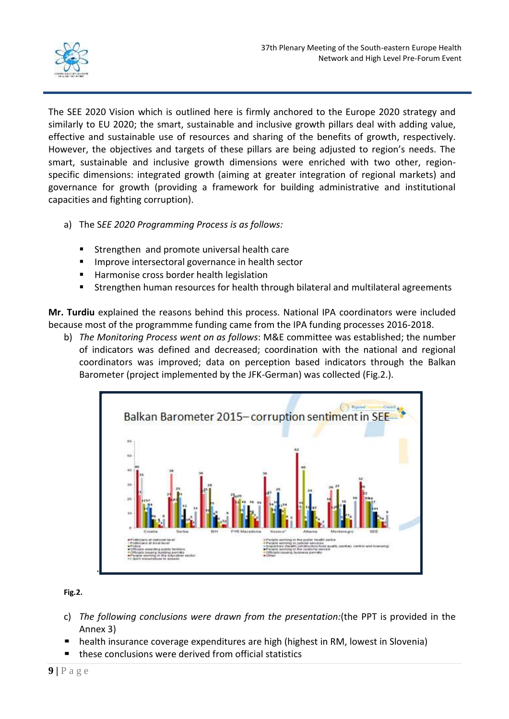

The SEE 2020 Vision which is outlined here is firmly anchored to the Europe 2020 strategy and similarly to EU 2020; the smart, sustainable and inclusive growth pillars deal with adding value, effective and sustainable use of resources and sharing of the benefits of growth, respectively. However, the objectives and targets of these pillars are being adjusted to region's needs. The smart, sustainable and inclusive growth dimensions were enriched with two other, regionspecific dimensions: integrated growth (aiming at greater integration of regional markets) and governance for growth (providing a framework for building administrative and institutional capacities and fighting corruption).

- a) The S*EE 2020 Programming Process is as follows:*
	- Strengthen and promote universal health care
	- Improve intersectoral governance in health sector
	- **Harmonise cross border health legislation**
	- Strengthen human resources for health through bilateral and multilateral agreements

**Mr. Turdiu** explained the reasons behind this process. National IPA coordinators were included because most of the programmme funding came from the IPA funding processes 2016-2018.

b) *The Monitoring Process went on as follows*: M&E committee was established; the number of indicators was defined and decreased; coordination with the national and regional coordinators was improved; data on perception based indicators through the Balkan Barometer (project implemented by the JFK-German) was collected (Fig.2.).



#### **Fig.2.**

- c) *The following conclusions were drawn from the presentation:*(the PPT is provided in the Annex 3)
- health insurance coverage expenditures are high (highest in RM, lowest in Slovenia)
- these conclusions were derived from official statistics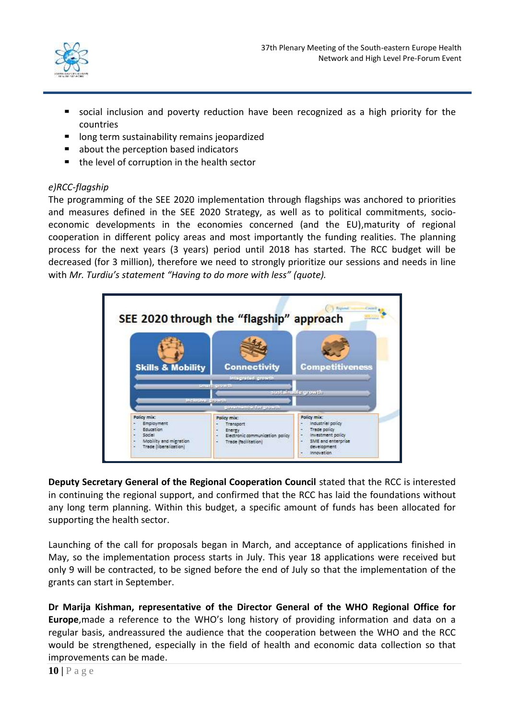

- social inclusion and poverty reduction have been recognized as a high priority for the countries
- long term sustainability remains jeopardized
- about the perception based indicators
- the level of corruption in the health sector

#### *e)RCC-flagship*

The programming of the SEE 2020 implementation through flagships was anchored to priorities and measures defined in the SEE 2020 Strategy, as well as to political commitments, socioeconomic developments in the economies concerned (and the EU),maturity of regional cooperation in different policy areas and most importantly the funding realities. The planning process for the next years (3 years) period until 2018 has started. The RCC budget will be decreased (for 3 million), therefore we need to strongly prioritize our sessions and needs in line with *Mr. Turdiu's statement "Having to do more with less" (quote).* 



**Deputy Secretary General of the Regional Cooperation Council** stated that the RCC is interested in continuing the regional support, and confirmed that the RCC has laid the foundations without any long term planning. Within this budget, a specific amount of funds has been allocated for supporting the health sector.

Launching of the call for proposals began in March, and acceptance of applications finished in May, so the implementation process starts in July. This year 18 applications were received but only 9 will be contracted, to be signed before the end of July so that the implementation of the grants can start in September.

**Dr Marija Kishman, representative of the Director General of the WHO Regional Office for Europe**,made a reference to the WHO's long history of providing information and data on a regular basis, andreassured the audience that the cooperation between the WHO and the RCC would be strengthened, especially in the field of health and economic data collection so that improvements can be made.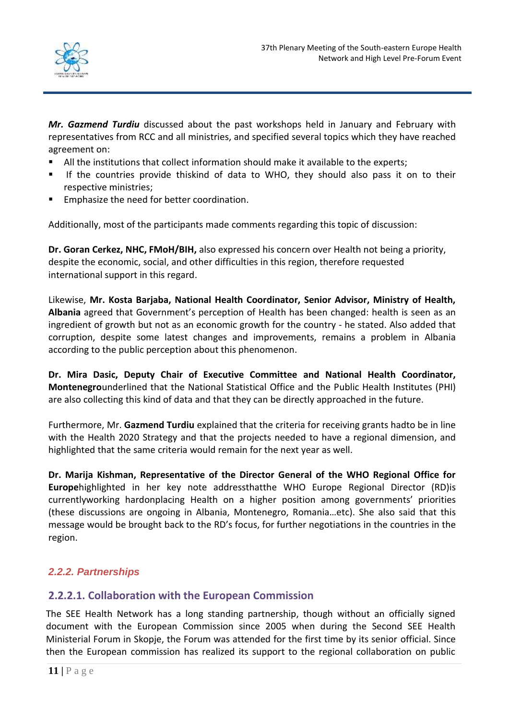

*Mr. Gazmend Turdiu* discussed about the past workshops held in January and February with representatives from RCC and all ministries, and specified several topics which they have reached agreement on:

- All the institutions that collect information should make it available to the experts;
- If the countries provide thiskind of data to WHO, they should also pass it on to their respective ministries;
- **Emphasize the need for better coordination.**

Additionally, most of the participants made comments regarding this topic of discussion:

**Dr. Goran Cerkez, NHC, FMoH/BIH,** also expressed his concern over Health not being a priority, despite the economic, social, and other difficulties in this region, therefore requested international support in this regard.

Likewise, **Mr. Kosta Barjaba, National Health Coordinator, Senior Advisor, Ministry of Health, Albania** agreed that Government's perception of Health has been changed: health is seen as an ingredient of growth but not as an economic growth for the country - he stated. Also added that corruption, despite some latest changes and improvements, remains a problem in Albania according to the public perception about this phenomenon.

**Dr. Mira Dasic, Deputy Chair of Executive Committee and National Health Coordinator, Montenegro**underlined that the National Statistical Office and the Public Health Institutes (PHI) are also collecting this kind of data and that they can be directly approached in the future.

Furthermore, Mr. **Gazmend Turdiu** explained that the criteria for receiving grants hadto be in line with the Health 2020 Strategy and that the projects needed to have a regional dimension, and highlighted that the same criteria would remain for the next year as well.

**Dr. Marija Kishman, Representative of the Director General of the WHO Regional Office for Europe**highlighted in her key note addressthatthe WHO Europe Regional Director (RD)is currentlyworking hardonplacing Health on a higher position among governments' priorities (these discussions are ongoing in Albania, Montenegro, Romania…etc). She also said that this message would be brought back to the RD's focus, for further negotiations in the countries in the region.

#### <span id="page-10-0"></span>*2.2.2. Partnerships*

#### **2.2.2.1. Collaboration with the European Commission**

The SEE Health Network has a long standing partnership, though without an officially signed document with the European Commission since 2005 when during the Second SEE Health Ministerial Forum in Skopje, the Forum was attended for the first time by its senior official. Since then the European commission has realized its support to the regional collaboration on public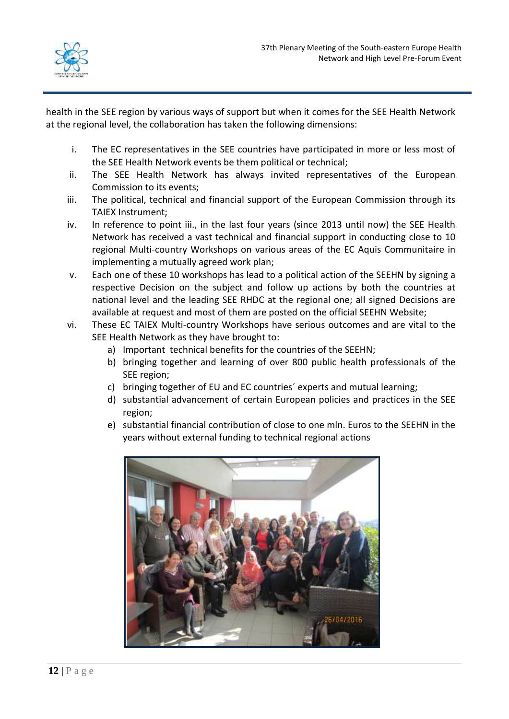

health in the SEE region by various ways of support but when it comes for the SEE Health Network at the regional level, the collaboration has taken the following dimensions:

- i. The EC representatives in the SEE countries have participated in more or less most of the SEE Health Network events be them political or technical;
- ii. The SEE Health Network has always invited representatives of the European Commission to its events;
- iii. The political, technical and financial support of the European Commission through its TAIEX Instrument;
- iv. In reference to point iii., in the last four years (since 2013 until now) the SEE Health Network has received a vast technical and financial support in conducting close to 10 regional Multi-country Workshops on various areas of the EC Aquis Communitaire in implementing a mutually agreed work plan;
- v. Each one of these 10 workshops has lead to a political action of the SEEHN by signing a respective Decision on the subject and follow up actions by both the countries at national level and the leading SEE RHDC at the regional one; all signed Decisions are available at request and most of them are posted on the official SEEHN Website;
- vi. These EC TAIEX Multi-country Workshops have serious outcomes and are vital to the SEE Health Network as they have brought to:
	- a) Important technical benefits for the countries of the SEEHN;
	- b) bringing together and learning of over 800 public health professionals of the SEE region;
	- c) bringing together of EU and EC countries´ experts and mutual learning;
	- d) substantial advancement of certain European policies and practices in the SEE region;
	- e) substantial financial contribution of close to one mln. Euros to the SEEHN in the years without external funding to technical regional actions

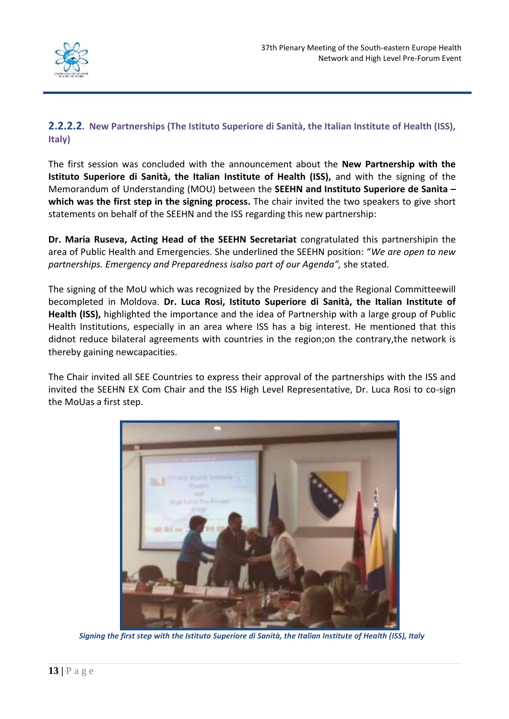

**2.2.2.2. New Partnerships (The Istituto Superiore di Sanità, the Italian Institute of Health (ISS), Italy)**

The first session was concluded with the announcement about the **New Partnership with the Istituto Superiore di Sanità, the Italian Institute of Health (ISS),** and with the signing of the Memorandum of Understanding (MOU) between the **SEEHN and Instituto Superiore de Sanita – which was the first step in the signing process.** The chair invited the two speakers to give short statements on behalf of the SEEHN and the ISS regarding this new partnership:

**Dr. Maria Ruseva, Acting Head of the SEEHN Secretariat** congratulated this partnershipin the area of Public Health and Emergencies. She underlined the SEEHN position: "*We are open to new partnerships. Emergency and Preparedness isalso part of our Agenda",* she stated.

The signing of the MoU which was recognized by the Presidency and the Regional Committeewill becompleted in Moldova. **Dr. Luca Rosi, Istituto Superiore di Sanità, the Italian Institute of Health (ISS),** highlighted the importance and the idea of Partnership with a large group of Public Health Institutions, especially in an area where ISS has a big interest. He mentioned that this didnot reduce bilateral agreements with countries in the region;on the contrary,the network is thereby gaining newcapacities.

The Chair invited all SEE Countries to express their approval of the partnerships with the ISS and invited the SEEHN EX Com Chair and the ISS High Level Representative, Dr. Luca Rosi to co-sign the MoUas a first step.



*Signing the first step with the Istituto Superiore di Sanità, the Italian Institute of Health (ISS), Italy*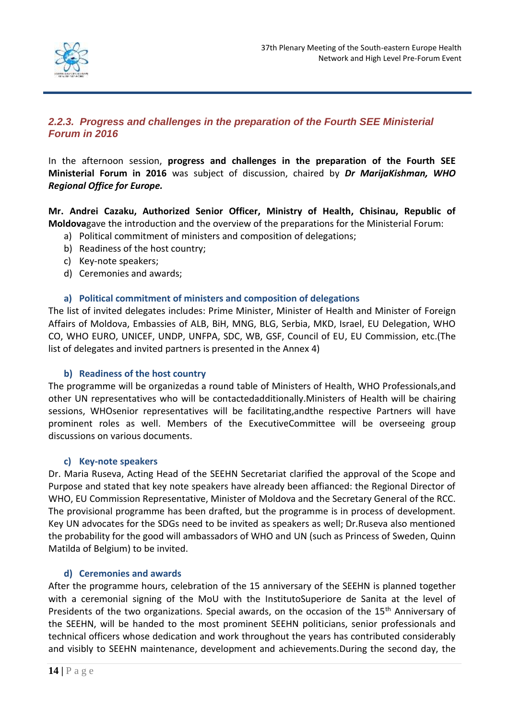

#### <span id="page-13-0"></span>*2.2.3. Progress and challenges in the preparation of the Fourth SEE Ministerial Forum in 2016*

In the afternoon session, **progress and challenges in the preparation of the Fourth SEE Ministerial Forum in 2016** was subject of discussion, chaired by *Dr MarijaKishman, WHO Regional Office for Europe.*

**Mr. Andrei Cazaku, Authorized Senior Officer, Ministry of Health, Chisinau, Republic of Moldova**gave the introduction and the overview of the preparations for the Ministerial Forum:

- a) Political commitment of ministers and composition of delegations;
- b) Readiness of the host country;
- c) Key-note speakers;
- d) Ceremonies and awards;

#### **a) Political commitment of ministers and composition of delegations**

The list of invited delegates includes: Prime Minister, Minister of Health and Minister of Foreign Affairs of Moldova, Embassies of ALB, BiH, MNG, BLG, Serbia, MKD, Israel, EU Delegation, WHO CO, WHO EURO, UNICEF, UNDP, UNFPA, SDC, WB, GSF, Council of EU, EU Commission, etc.(The list of delegates and invited partners is presented in the Annex 4)

#### **b) Readiness of the host country**

The programme will be organizedas a round table of Ministers of Health, WHO Professionals,and other UN representatives who will be contactedadditionally.Ministers of Health will be chairing sessions, WHOsenior representatives will be facilitating,andthe respective Partners will have prominent roles as well. Members of the ExecutiveCommittee will be overseeing group discussions on various documents.

#### **c) Key-note speakers**

Dr. Maria Ruseva, Acting Head of the SEEHN Secretariat clarified the approval of the Scope and Purpose and stated that key note speakers have already been affianced: the Regional Director of WHO, EU Commission Representative, Minister of Moldova and the Secretary General of the RCC. The provisional programme has been drafted, but the programme is in process of development. Key UN advocates for the SDGs need to be invited as speakers as well; Dr.Ruseva also mentioned the probability for the good will ambassadors of WHO and UN (such as Princess of Sweden, Quinn Matilda of Belgium) to be invited.

#### **d) Ceremonies and awards**

After the programme hours, celebration of the 15 anniversary of the SEEHN is planned together with a ceremonial signing of the MoU with the InstitutoSuperiore de Sanita at the level of Presidents of the two organizations. Special awards, on the occasion of the 15<sup>th</sup> Anniversary of the SEEHN, will be handed to the most prominent SEEHN politicians, senior professionals and technical officers whose dedication and work throughout the years has contributed considerably and visibly to SEEHN maintenance, development and achievements.During the second day, the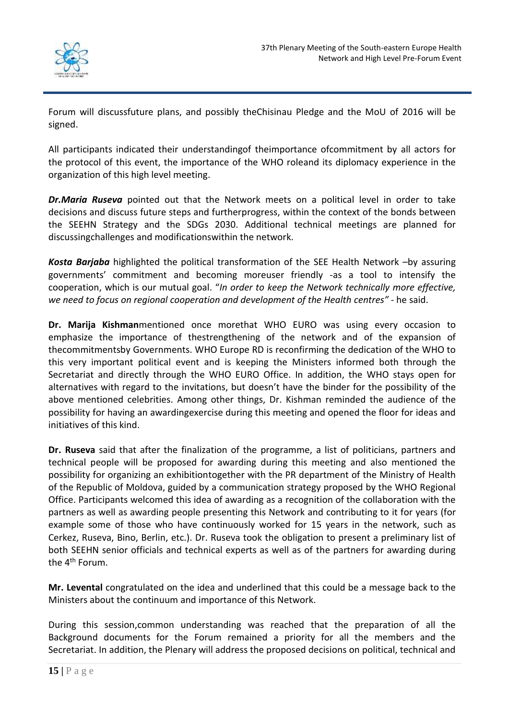

Forum will discussfuture plans, and possibly theChisinau Pledge and the MoU of 2016 will be signed.

All participants indicated their understandingof theimportance ofcommitment by all actors for the protocol of this event, the importance of the WHO roleand its diplomacy experience in the organization of this high level meeting.

*Dr.Maria Ruseva* pointed out that the Network meets on a political level in order to take decisions and discuss future steps and furtherprogress, within the context of the bonds between the SEEHN Strategy and the SDGs 2030. Additional technical meetings are planned for discussingchallenges and modificationswithin the network.

*Kosta Barjaba* highlighted the political transformation of the SEE Health Network –by assuring governments' commitment and becoming moreuser friendly -as a tool to intensify the cooperation, which is our mutual goal. "*In order to keep the Network technically more effective, we need to focus on regional cooperation and development of the Health centres" -* he said.

**Dr. Marija Kishman**mentioned once morethat WHO EURO was using every occasion to emphasize the importance of thestrengthening of the network and of the expansion of thecommitmentsby Governments. WHO Europe RD is reconfirming the dedication of the WHO to this very important political event and is keeping the Ministers informed both through the Secretariat and directly through the WHO EURO Office. In addition, the WHO stays open for alternatives with regard to the invitations, but doesn't have the binder for the possibility of the above mentioned celebrities. Among other things, Dr. Kishman reminded the audience of the possibility for having an awardingexercise during this meeting and opened the floor for ideas and initiatives of this kind.

**Dr. Ruseva** said that after the finalization of the programme, a list of politicians, partners and technical people will be proposed for awarding during this meeting and also mentioned the possibility for organizing an exhibitiontogether with the PR department of the Ministry of Health of the Republic of Moldova, guided by a communication strategy proposed by the WHO Regional Office. Participants welcomed this idea of awarding as a recognition of the collaboration with the partners as well as awarding people presenting this Network and contributing to it for years (for example some of those who have continuously worked for 15 years in the network, such as Cerkez, Ruseva, Bino, Berlin, etc.). Dr. Ruseva took the obligation to present a preliminary list of both SEEHN senior officials and technical experts as well as of the partners for awarding during the 4<sup>th</sup> Forum.

**Mr. Levental** congratulated on the idea and underlined that this could be a message back to the Ministers about the continuum and importance of this Network.

During this session,common understanding was reached that the preparation of all the Background documents for the Forum remained a priority for all the members and the Secretariat. In addition, the Plenary will address the proposed decisions on political, technical and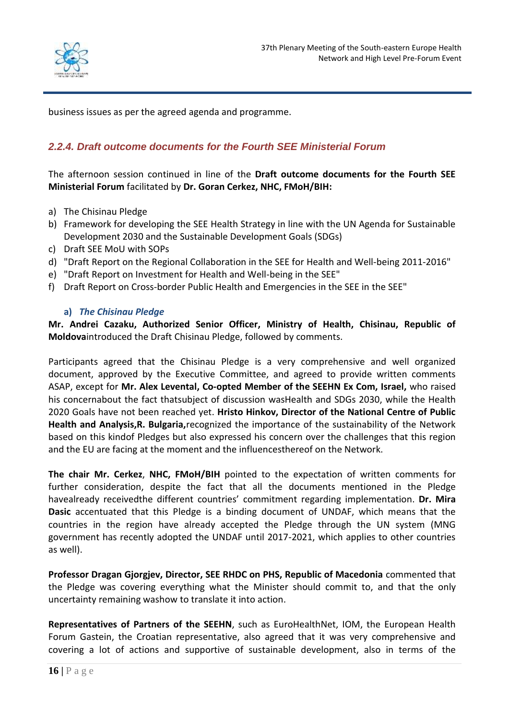

business issues as per the agreed agenda and programme.

#### <span id="page-15-0"></span>*2.2.4. Draft outcome documents for the Fourth SEE Ministerial Forum*

The afternoon session continued in line of the **Draft outcome documents for the Fourth SEE Ministerial Forum** facilitated by **Dr. Goran Cerkez, NHC, FMoH/BIH:**

- a) The Chisinau Pledge
- b) Framework for developing the SEE Health Strategy in line with the UN Agenda for Sustainable Development 2030 and the Sustainable Development Goals (SDGs)
- c) Draft SEE MoU with SOPs
- d) "Draft Report on the Regional Collaboration in the SEE for Health and Well-being 2011-2016"
- e) "Draft Report on Investment for Health and Well-being in the SEE"
- f) Draft Report on Cross-border Public Health and Emergencies in the SEE in the SEE"

#### **a)** *The Chisinau Pledge*

**Mr. Andrei Cazaku, Authorized Senior Officer, Ministry of Health, Chisinau, Republic of Moldova**introduced the Draft Chisinau Pledge, followed by comments.

Participants agreed that the Chisinau Pledge is a very comprehensive and well organized document, approved by the Executive Committee, and agreed to provide written comments ASAP, except for **Mr. Alex Levental, Co-opted Member of the SEEHN Ex Com, Israel,** who raised his concernabout the fact thatsubject of discussion wasHealth and SDGs 2030, while the Health 2020 Goals have not been reached yet. **Hristo Hinkov, Director of the National Centre of Public Health and Analysis,R. Bulgaria,**recognized the importance of the sustainability of the Network based on this kindof Pledges but also expressed his concern over the challenges that this region and the EU are facing at the moment and the influencesthereof on the Network.

**The chair Mr. Cerkez**, **NHC, FMoH/BIH** pointed to the expectation of written comments for further consideration, despite the fact that all the documents mentioned in the Pledge havealready receivedthe different countries' commitment regarding implementation. **Dr. Mira Dasic** accentuated that this Pledge is a binding document of UNDAF, which means that the countries in the region have already accepted the Pledge through the UN system (MNG government has recently adopted the UNDAF until 2017-2021, which applies to other countries as well).

**Professor Dragan Gjorgjev, Director, SEE RHDC on PHS, Republic of Macedonia** commented that the Pledge was covering everything what the Minister should commit to, and that the only uncertainty remaining washow to translate it into action.

**Representatives of Partners of the SEEHN**, such as EuroHealthNet, IOM, the European Health Forum Gastein, the Croatian representative, also agreed that it was very comprehensive and covering a lot of actions and supportive of sustainable development, also in terms of the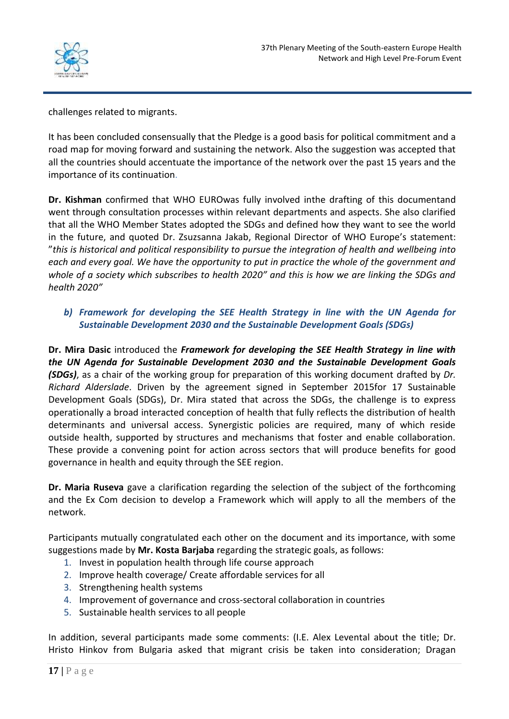

challenges related to migrants.

It has been concluded consensually that the Pledge is a good basis for political commitment and a road map for moving forward and sustaining the network. Also the suggestion was accepted that all the countries should accentuate the importance of the network over the past 15 years and the importance of its continuation.

**Dr. Kishman** confirmed that WHO EUROwas fully involved inthe drafting of this documentand went through consultation processes within relevant departments and aspects. She also clarified that all the WHO Member States adopted the SDGs and defined how they want to see the world in the future, and quoted Dr. Zsuzsanna Jakab, Regional Director of WHO Europe's statement: "*this is historical and political responsibility to pursue the integration of health and wellbeing into each and every goal. We have the opportunity to put in practice the whole of the government and whole of a society which subscribes to health 2020" and this is how we are linking the SDGs and health 2020"*

#### *b) Framework for developing the SEE Health Strategy in line with the UN Agenda for Sustainable Development 2030 and the Sustainable Development Goals (SDGs)*

**Dr. Mira Dasic** introduced the *Framework for developing the SEE Health Strategy in line with the UN Agenda for Sustainable Development 2030 and the Sustainable Development Goals (SDGs)*, as a chair of the working group for preparation of this working document drafted by *Dr. Richard Alderslade*. Driven by the agreement signed in September 2015for 17 Sustainable Development Goals (SDGs), Dr. Mira stated that across the SDGs, the challenge is to express operationally a broad interacted conception of health that fully reflects the distribution of health determinants and universal access. Synergistic policies are required, many of which reside outside health, supported by structures and mechanisms that foster and enable collaboration. These provide a convening point for action across sectors that will produce benefits for good governance in health and equity through the SEE region.

**Dr. Maria Ruseva** gave a clarification regarding the selection of the subject of the forthcoming and the Ex Com decision to develop a Framework which will apply to all the members of the network.

Participants mutually congratulated each other on the document and its importance, with some suggestions made by **Mr. Kosta Barjaba** regarding the strategic goals, as follows:

- 1. Invest in population health through life course approach
- 2. Improve health coverage/ Create affordable services for all
- 3. Strengthening health systems
- 4. Improvement of governance and cross-sectoral collaboration in countries
- 5. Sustainable health services to all people

In addition, several participants made some comments: (I.E. Alex Levental about the title; Dr. Hristo Hinkov from Bulgaria asked that migrant crisis be taken into consideration; Dragan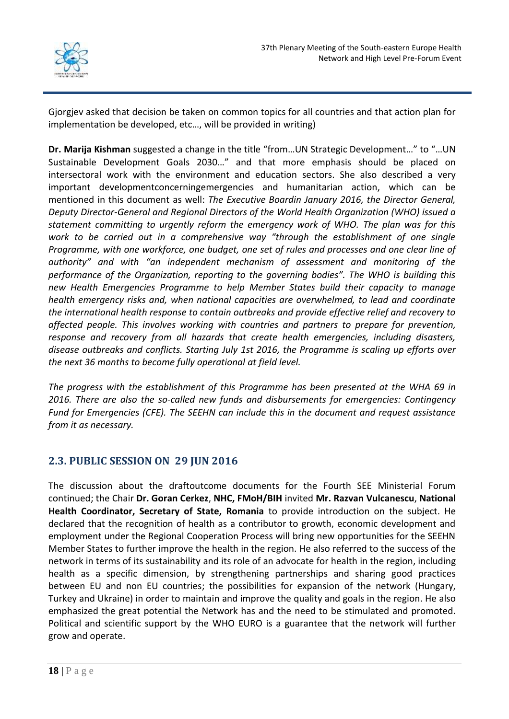

Gjorgjev asked that decision be taken on common topics for all countries and that action plan for implementation be developed, etc…, will be provided in writing)

**Dr. Marija Kishman** suggested a change in the title "from…UN Strategic Development…" to "…UN Sustainable Development Goals 2030…" and that more emphasis should be placed on intersectoral work with the environment and education sectors. She also described a very important developmentconcerningemergencies and humanitarian action, which can be mentioned in this document as well: *The Executive Boardin January 2016, the Director General, Deputy Director-General and Regional Directors of the World Health Organization (WHO) issued a statement committing to urgently reform the emergency work of WHO. The plan was for this work to be carried out in a comprehensive way "through the establishment of one single Programme, with one workforce, one budget, one set of rules and processes and one clear line of authority" and with "an independent mechanism of assessment and monitoring of the performance of the Organization, reporting to the governing bodies". The WHO is building this new Health Emergencies Programme to help Member States build their capacity to manage health emergency risks and, when national capacities are overwhelmed, to lead and coordinate the international health response to contain outbreaks and provide effective relief and recovery to affected people. This involves working with countries and partners to prepare for prevention, response and recovery from all hazards that create health emergencies, including disasters, disease outbreaks and conflicts. Starting July 1st 2016, the Programme is scaling up efforts over the next 36 months to become fully operational at field level.*

*The progress with the establishment of this Programme has been presented at the WHA 69 in 2016. There are also the so-called new funds and disbursements for emergencies: Contingency Fund for Emergencies (CFE). The SEEHN can include this in the document and request assistance from it as necessary.*

#### <span id="page-17-0"></span>**2.3. PUBLIC SESSION ON 29 JUN 2016**

The discussion about the draftoutcome documents for the Fourth SEE Ministerial Forum continued; the Chair **Dr. Goran Cerkez**, **NHC, FMoH/BIH** invited **Mr. Razvan Vulcanescu**, **National Health Coordinator, Secretary of State, Romania** to provide introduction on the subject. He declared that the recognition of health as a contributor to growth, economic development and employment under the Regional Cooperation Process will bring new opportunities for the SEEHN Member States to further improve the health in the region. He also referred to the success of the network in terms of its sustainability and its role of an advocate for health in the region, including health as a specific dimension, by strengthening partnerships and sharing good practices between EU and non EU countries; the possibilities for expansion of the network (Hungary, Turkey and Ukraine) in order to maintain and improve the quality and goals in the region. He also emphasized the great potential the Network has and the need to be stimulated and promoted. Political and scientific support by the WHO EURO is a guarantee that the network will further grow and operate.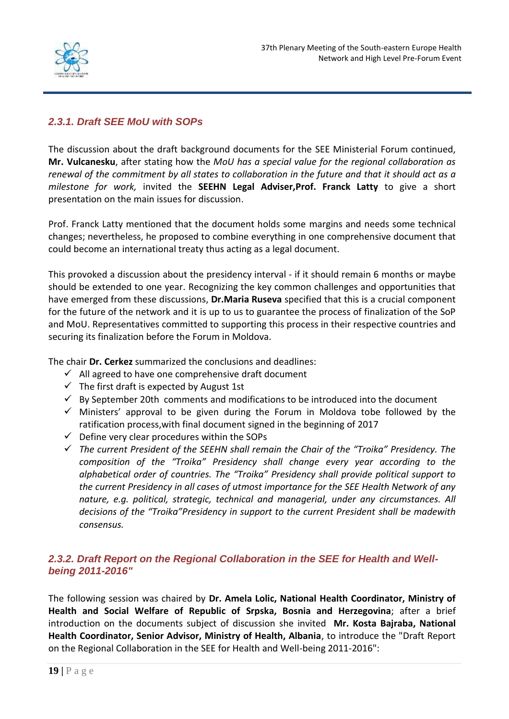

#### <span id="page-18-0"></span>*2.3.1. Draft SEE MoU with SOPs*

The discussion about the draft background documents for the SEE Ministerial Forum continued, **Mr. Vulcanesku**, after stating how the *MoU has a special value for the regional collaboration as renewal of the commitment by all states to collaboration in the future and that it should act as a milestone for work,* invited the **SEEHN Legal Adviser,Prof. Franck Latty** to give a short presentation on the main issues for discussion.

Prof. Franck Latty mentioned that the document holds some margins and needs some technical changes; nevertheless, he proposed to combine everything in one comprehensive document that could become an international treaty thus acting as a legal document.

This provoked a discussion about the presidency interval - if it should remain 6 months or maybe should be extended to one year. Recognizing the key common challenges and opportunities that have emerged from these discussions, **Dr.Maria Ruseva** specified that this is a crucial component for the future of the network and it is up to us to guarantee the process of finalization of the SoP and MoU. Representatives committed to supporting this process in their respective countries and securing its finalization before the Forum in Moldova.

The chair **Dr. Cerkez** summarized the conclusions and deadlines:

- $\checkmark$  All agreed to have one comprehensive draft document
- $\checkmark$  The first draft is expected by August 1st
- $\checkmark$  By September 20th comments and modifications to be introduced into the document
- $\checkmark$  Ministers' approval to be given during the Forum in Moldova tobe followed by the ratification process,with final document signed in the beginning of 2017
- $\checkmark$  Define very clear procedures within the SOPs
- *The current President of the SEEHN shall remain the Chair of the "Troika" Presidency. The composition of the "Troika" Presidency shall change every year according to the alphabetical order of countries. The "Troika" Presidency shall provide political support to the current Presidency in all cases of utmost importance for the SEE Health Network of any nature, e.g. political, strategic, technical and managerial, under any circumstances. All decisions of the "Troika"Presidency in support to the current President shall be madewith consensus.*

#### <span id="page-18-1"></span>*2.3.2. Draft Report on the Regional Collaboration in the SEE for Health and Wellbeing 2011-2016"*

The following session was chaired by **Dr. Amela Lolic, National Health Coordinator, Ministry of Health and Social Welfare of Republic of Srpska, Bosnia and Herzegovina**; after a brief introduction on the documents subject of discussion she invited **Mr. Kosta Bajraba, National Health Coordinator, Senior Advisor, Ministry of Health, Albania**, to introduce the "Draft Report on the Regional Collaboration in the SEE for Health and Well-being 2011-2016":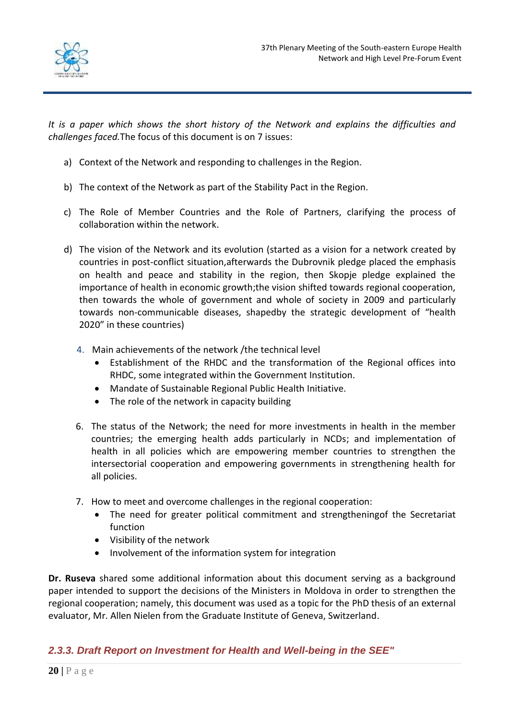

*It is a paper which shows the short history of the Network and explains the difficulties and challenges faced.*The focus of this document is on 7 issues:

- a) Context of the Network and responding to challenges in the Region.
- b) The context of the Network as part of the Stability Pact in the Region.
- c) The Role of Member Countries and the Role of Partners, clarifying the process of collaboration within the network.
- d) The vision of the Network and its evolution (started as a vision for a network created by countries in post-conflict situation,afterwards the Dubrovnik pledge placed the emphasis on health and peace and stability in the region, then Skopje pledge explained the importance of health in economic growth;the vision shifted towards regional cooperation, then towards the whole of government and whole of society in 2009 and particularly towards non-communicable diseases, shapedby the strategic development of "health 2020" in these countries)
	- 4. Main achievements of the network /the technical level
		- Establishment of the RHDC and the transformation of the Regional offices into RHDC, some integrated within the Government Institution.
		- Mandate of Sustainable Regional Public Health Initiative.
		- The role of the network in capacity building
	- 6. The status of the Network; the need for more investments in health in the member countries; the emerging health adds particularly in NCDs; and implementation of health in all policies which are empowering member countries to strengthen the intersectorial cooperation and empowering governments in strengthening health for all policies.
	- 7. How to meet and overcome challenges in the regional cooperation:
		- The need for greater political commitment and strengtheningof the Secretariat function
		- Visibility of the network
		- Involvement of the information system for integration

**Dr. Ruseva** shared some additional information about this document serving as a background paper intended to support the decisions of the Ministers in Moldova in order to strengthen the regional cooperation; namely, this document was used as a topic for the PhD thesis of an external evaluator, Mr. Allen Nielen from the Graduate Institute of Geneva, Switzerland.

#### <span id="page-19-0"></span>*2.3.3. Draft Report on Investment for Health and Well-being in the SEE"*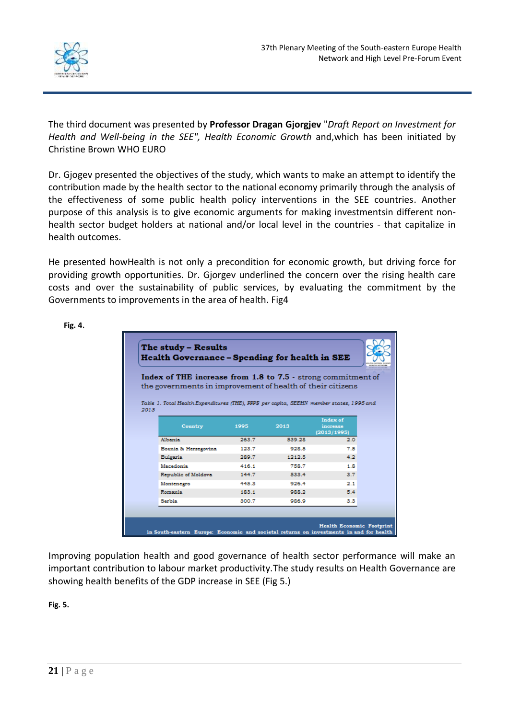

The third document was presented by **Professor Dragan Gjorgjev** "*Draft Report on Investment for Health and Well-being in the SEE", Health Economic Growth* and,which has been initiated by Christine Brown WHO EURO

Dr. Gjogev presented the objectives of the study, which wants to make an attempt to identify the contribution made by the health sector to the national economy primarily through the analysis of the effectiveness of some public health policy interventions in the SEE countries. Another purpose of this analysis is to give economic arguments for making investmentsin different nonhealth sector budget holders at national and/or local level in the countries - that capitalize in health outcomes.

He presented howHealth is not only a precondition for economic growth, but driving force for providing growth opportunities. Dr. Gjorgev underlined the concern over the rising health care costs and over the sustainability of public services, by evaluating the commitment by the Governments to improvements in the area of health. Fig4

| <b>Health Governance – Spending for health in SEE</b>                                     |       |        |                         |  |
|-------------------------------------------------------------------------------------------|-------|--------|-------------------------|--|
| Index of THE increase from 1.8 to 7.5 - strong commitment of                              |       |        |                         |  |
| the governments in improvement of health of their citizens                                |       |        |                         |  |
| Table 1. Total Health Expenditures (THE), PPP\$ per capita, SEEHN member states, 1995 and |       |        |                         |  |
| 2013                                                                                      |       |        |                         |  |
|                                                                                           |       |        | Index of                |  |
| Country                                                                                   | 1995  | 2013   | increase<br>(2013/1995) |  |
| Albania                                                                                   | 263.7 | 539.28 | 2.0                     |  |
| Bosnia & Herzegovina                                                                      | 123.7 | 928.5  | 7.5                     |  |
| <b>Bulgaria</b>                                                                           | 289.7 | 1212.5 | 4.2                     |  |
| Macedonia                                                                                 | 416.1 | 758.7  | 1.8                     |  |
| Republic of Moldova                                                                       | 144.7 | 533.4  | 3.7                     |  |
| Montenegro                                                                                | 445.3 | 926.4  | 2.1                     |  |
| Romania.                                                                                  | 183.1 | 988.2  | 5.4                     |  |
| Serbia                                                                                    | 300.7 | 986.9  | 3.3                     |  |
|                                                                                           |       |        |                         |  |

**Fig. 4**.

Improving population health and good governance of health sector performance will make an important contribution to labour market productivity.The study results on Health Governance are showing health benefits of the GDP increase in SEE (Fig 5.)

**Fig. 5.**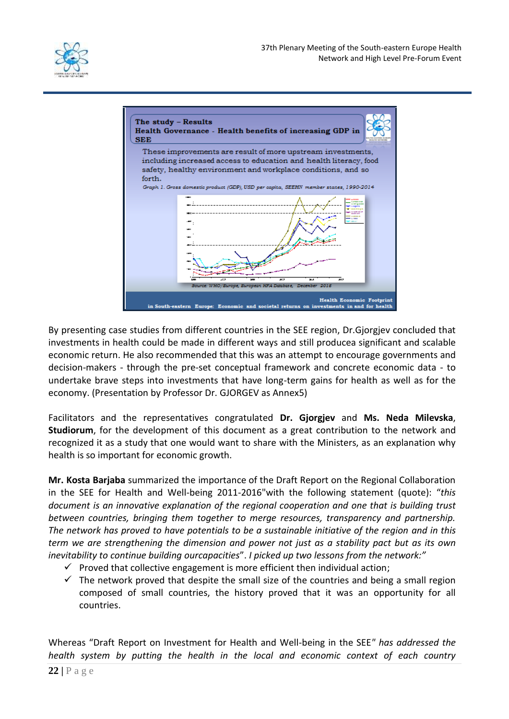



By presenting case studies from different countries in the SEE region, Dr.Gjorgjev concluded that investments in health could be made in different ways and still producea significant and scalable economic return. He also recommended that this was an attempt to encourage governments and decision-makers - through the pre-set conceptual framework and concrete economic data - to undertake brave steps into investments that have long-term gains for health as well as for the economy. (Presentation by Professor Dr. GJORGEV as Annex5)

Facilitators and the representatives congratulated **Dr. Gjorgjev** and **Ms. Neda Milevska**, **Studiorum**, for the development of this document as a great contribution to the network and recognized it as a study that one would want to share with the Ministers, as an explanation why health is so important for economic growth.

**Mr. Kosta Barjaba** summarized the importance of the Draft Report on the Regional Collaboration in the SEE for Health and Well-being 2011-2016"with the following statement (quote): "*this document is an innovative explanation of the regional cooperation and one that is building trust between countries, bringing them together to merge resources, transparency and partnership. The network has proved to have potentials to be a sustainable initiative of the region and in this term we are strengthening the dimension and power not just as a stability pact but as its own inevitability to continue building ourcapacities*". *I picked up two lessons from the network:"*

- $\checkmark$  Proved that collective engagement is more efficient then individual action;
- $\checkmark$  The network proved that despite the small size of the countries and being a small region composed of small countries, the history proved that it was an opportunity for all countries.

Whereas "Draft Report on Investment for Health and Well-being in the SEE*" has addressed the health system by putting the health in the local and economic context of each country*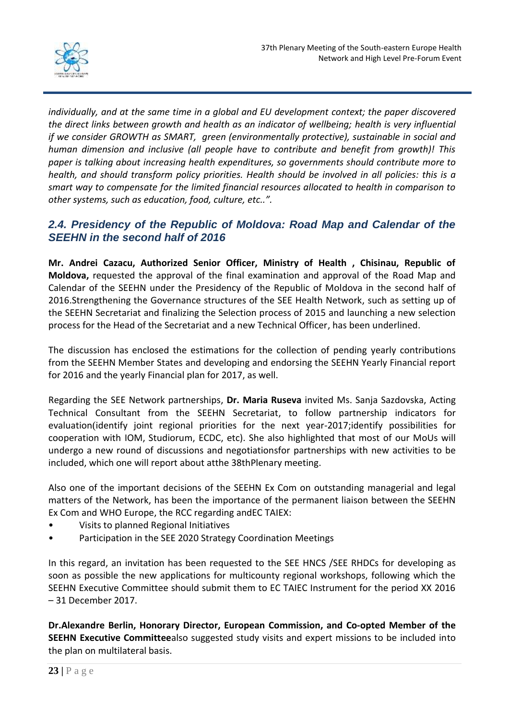

*individually, and at the same time in a global and EU development context; the paper discovered the direct links between growth and health as an indicator of wellbeing; health is very influential if we consider GROWTH as SMART, green (environmentally protective), sustainable in social and human dimension and inclusive (all people have to contribute and benefit from growth)! This paper is talking about increasing health expenditures, so governments should contribute more to health, and should transform policy priorities. Health should be involved in all policies: this is a smart way to compensate for the limited financial resources allocated to health in comparison to other systems, such as education, food, culture, etc..".* 

#### <span id="page-22-0"></span>*2.4. Presidency of the Republic of Moldova: Road Map and Calendar of the SEEHN in the second half of 2016*

**Mr. Andrei Cazacu, Authorized Senior Officer, Ministry of Health , Chisinau, Republic of Moldova,** requested the approval of the final examination and approval of the Road Map and Calendar of the SEEHN under the Presidency of the Republic of Moldova in the second half of 2016.Strengthening the Governance structures of the SEE Health Network, such as setting up of the SEEHN Secretariat and finalizing the Selection process of 2015 and launching a new selection process for the Head of the Secretariat and a new Technical Officer, has been underlined.

The discussion has enclosed the estimations for the collection of pending yearly contributions from the SEEHN Member States and developing and endorsing the SEEHN Yearly Financial report for 2016 and the yearly Financial plan for 2017, as well.

Regarding the SEE Network partnerships, **Dr. Maria Ruseva** invited Ms. Sanja Sazdovska, Acting Technical Consultant from the SEEHN Secretariat, to follow partnership indicators for evaluation(identify joint regional priorities for the next year-2017;identify possibilities for cooperation with IOM, Studiorum, ECDC, etc). She also highlighted that most of our MoUs will undergo a new round of discussions and negotiationsfor partnerships with new activities to be included, which one will report about atthe 38thPlenary meeting.

Also one of the important decisions of the SEEHN Ex Com on outstanding managerial and legal matters of the Network, has been the importance of the permanent liaison between the SEEHN Ex Com and WHO Europe, the RCC regarding andEC TAIEX:

- Visits to planned Regional Initiatives
- Participation in the SEE 2020 Strategy Coordination Meetings

In this regard, an invitation has been requested to the SEE HNCS /SEE RHDCs for developing as soon as possible the new applications for multicounty regional workshops, following which the SEEHN Executive Committee should submit them to EC TAIEC Instrument for the period XX 2016 – 31 December 2017.

**Dr.Alexandre Berlin, Honorary Director, European Commission, and Co-opted Member of the SEEHN Executive Committee**also suggested study visits and expert missions to be included into the plan on multilateral basis.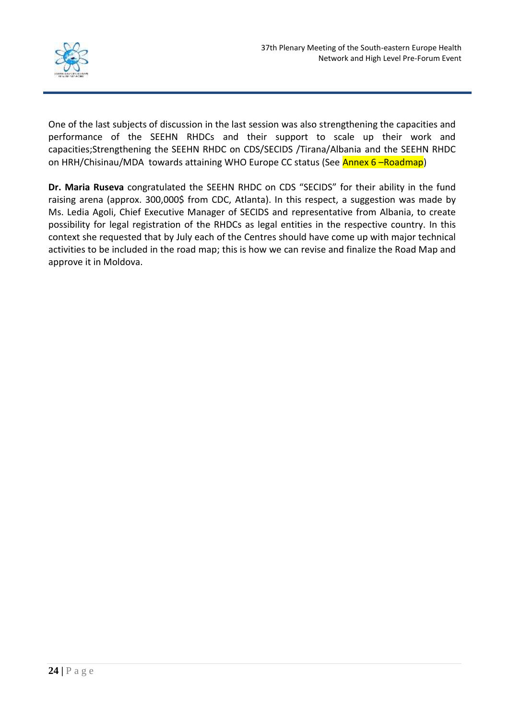

One of the last subjects of discussion in the last session was also strengthening the capacities and performance of the SEEHN RHDCs and their support to scale up their work and capacities;Strengthening the SEEHN RHDC on CDS/SECIDS /Tirana/Albania and the SEEHN RHDC on HRH/Chisinau/MDA towards attaining WHO Europe CC status (See Annex 6-Roadmap)

**Dr. Maria Ruseva** congratulated the SEEHN RHDC on CDS "SECIDS" for their ability in the fund raising arena (approx. 300,000\$ from CDC, Atlanta). In this respect, a suggestion was made by Ms. Ledia Agoli, Chief Executive Manager of SECIDS and representative from Albania, to create possibility for legal registration of the RHDCs as legal entities in the respective country. In this context she requested that by July each of the Centres should have come up with major technical activities to be included in the road map; this is how we can revise and finalize the Road Map and approve it in Moldova.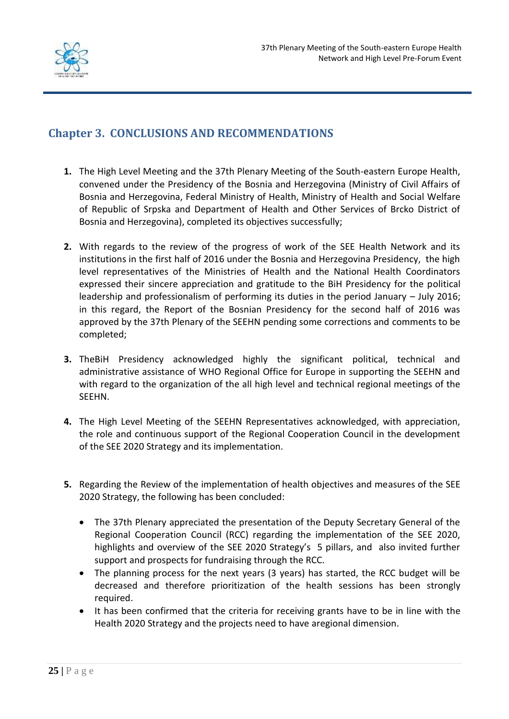

#### <span id="page-24-0"></span>**Chapter 3. CONCLUSIONS AND RECOMMENDATIONS**

- **1.** The High Level Meeting and the 37th Plenary Meeting of the South-eastern Europe Health, convened under the Presidency of the Bosnia and Herzegovina (Ministry of Civil Affairs of Bosnia and Herzegovina, Federal Ministry of Health, Ministry of Health and Social Welfare of Republic of Srpska and Department of Health and Other Services of Brcko District of Bosnia and Herzegovina), completed its objectives successfully;
- **2.** With regards to the review of the progress of work of the SEE Health Network and its institutions in the first half of 2016 under the Bosnia and Herzegovina Presidency, the high level representatives of the Ministries of Health and the National Health Coordinators expressed their sincere appreciation and gratitude to the BiH Presidency for the political leadership and professionalism of performing its duties in the period January – July 2016; in this regard, the Report of the Bosnian Presidency for the second half of 2016 was approved by the 37th Plenary of the SEEHN pending some corrections and comments to be completed;
- **3.** TheBiH Presidency acknowledged highly the significant political, technical and administrative assistance of WHO Regional Office for Europe in supporting the SEEHN and with regard to the organization of the all high level and technical regional meetings of the SEEHN.
- **4.** The High Level Meeting of the SEEHN Representatives acknowledged, with appreciation, the role and continuous support of the Regional Cooperation Council in the development of the SEE 2020 Strategy and its implementation.
- **5.** Regarding the Review of the implementation of health objectives and measures of the SEE 2020 Strategy, the following has been concluded:
	- The 37th Plenary appreciated the presentation of the Deputy Secretary General of the Regional Cooperation Council (RCC) regarding the implementation of the SEE 2020, highlights and overview of the SEE 2020 Strategy's 5 pillars, and also invited further support and prospects for fundraising through the RCC.
	- The planning process for the next years (3 years) has started, the RCC budget will be decreased and therefore prioritization of the health sessions has been strongly required.
	- It has been confirmed that the criteria for receiving grants have to be in line with the Health 2020 Strategy and the projects need to have aregional dimension.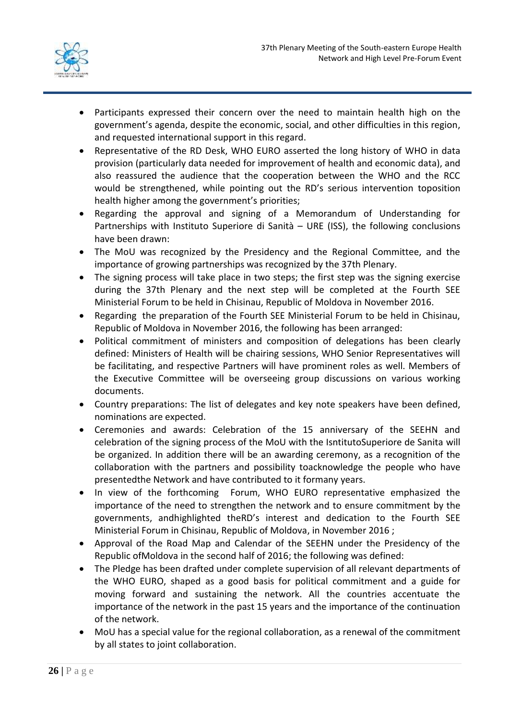

- Participants expressed their concern over the need to maintain health high on the government's agenda, despite the economic, social, and other difficulties in this region, and requested international support in this regard.
- Representative of the RD Desk, WHO EURO asserted the long history of WHO in data provision (particularly data needed for improvement of health and economic data), and also reassured the audience that the cooperation between the WHO and the RCC would be strengthened, while pointing out the RD's serious intervention toposition health higher among the government's priorities;
- Regarding the approval and signing of a Memorandum of Understanding for Partnerships with Instituto Superiore di Sanità – URE (ISS), the following conclusions have been drawn:
- The MoU was recognized by the Presidency and the Regional Committee, and the importance of growing partnerships was recognized by the 37th Plenary.
- The signing process will take place in two steps; the first step was the signing exercise during the 37th Plenary and the next step will be completed at the Fourth SEE Ministerial Forum to be held in Chisinau, Republic of Moldova in November 2016.
- Regarding the preparation of the Fourth SEE Ministerial Forum to be held in Chisinau, Republic of Moldova in November 2016, the following has been arranged:
- Political commitment of ministers and composition of delegations has been clearly defined: Ministers of Health will be chairing sessions, WHO Senior Representatives will be facilitating, and respective Partners will have prominent roles as well. Members of the Executive Committee will be overseeing group discussions on various working documents.
- Country preparations: The list of delegates and key note speakers have been defined, nominations are expected.
- Ceremonies and awards: Celebration of the 15 anniversary of the SEEHN and celebration of the signing process of the MoU with the IsntitutoSuperiore de Sanita will be organized. In addition there will be an awarding ceremony, as a recognition of the collaboration with the partners and possibility toacknowledge the people who have presentedthe Network and have contributed to it formany years.
- In view of the forthcoming Forum, WHO EURO representative emphasized the importance of the need to strengthen the network and to ensure commitment by the governments, andhighlighted theRD's interest and dedication to the Fourth SEE Ministerial Forum in Chisinau, Republic of Moldova, in November 2016 ;
- Approval of the Road Map and Calendar of the SEEHN under the Presidency of the Republic ofMoldova in the second half of 2016; the following was defined:
- The Pledge has been drafted under complete supervision of all relevant departments of the WHO EURO, shaped as a good basis for political commitment and a guide for moving forward and sustaining the network. All the countries accentuate the importance of the network in the past 15 years and the importance of the continuation of the network.
- MoU has a special value for the regional collaboration, as a renewal of the commitment by all states to joint collaboration.